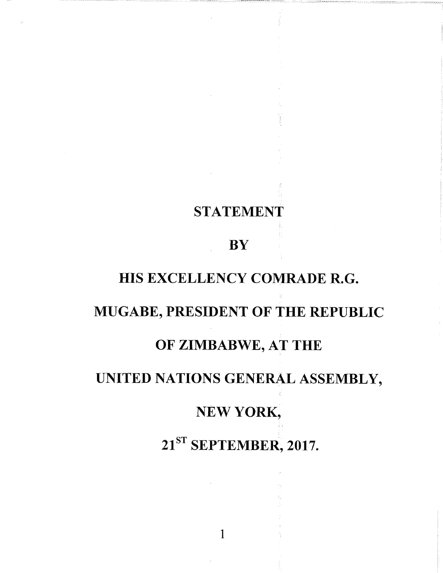### STATEMENT

### **BY**

### HIS EXCELLENCY COMRADE R.G.

### MUGABE, PRESIDENT OF THE REPUBLIC

### OF ZIMBABWE, AT THE

## UNITED NATIONS GENERAL ASSEMBLY,

### NEW YORK,

# 21<sup>ST</sup> SEPTEMBER, 2017.

1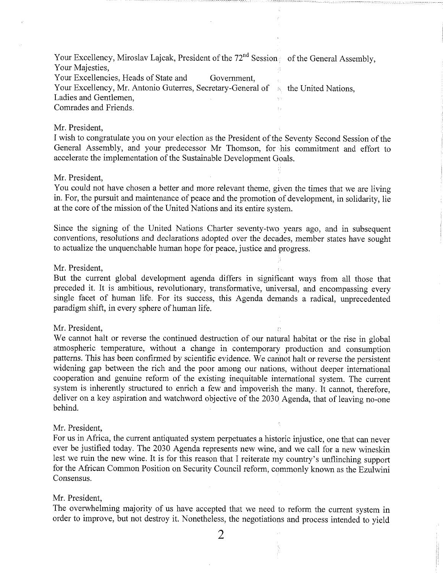Your Excellency, Miroslav Lajcak, President of the 72<sup>nd</sup> Session of the General Assembly, Your Majesties,

Your Excellencies, Heads of State and Government, Your Excellency, Mr. Antonio Guterres, Secretary-General of  $\rightarrow$ , the United Nations, Ladies and Gentlemen,

Comrades and Friends.

#### Mr. President,

I wish to congratulate you on your election as the President of the Seventy Second Session of the General Assembly, and your predecessor Mr Thomson, for his commitment and effort to accelerate the implementation of the Sustainable Development Goals.

i'

#### Mr. President,

You could not have chosen a better and more relevant theme, given the times that we are living in. For, the pursuit and maintenance of peace and the promotion of development, in solidarity, lie at the core of the mission of the United Nations and its entire system.

Since the signing of the United Nations Charter seventy-two years ago, and in subsequent conventions, resolutions and declarations adopted over the decades, member states have sought to actualize the unquenchable human hope for peace, justice and progress.

#### Mr. President,

But the current global development agenda differs in significant ways from all those that preceded it. It is ambitious, revolutionary, transformative, universal, and encompassing every single facet of human life. For its success, this Agenda demands a radical, unprecedented paradigm shift, in every sphere of human life.

#### Mr. President,

We cannot halt or reverse the continued destruction of our natural habitat or the rise in global atmospheric temperature, without a change in contemporary production and consumption patterns. This has been confirmed by scientific evidence. We cannot halt or reverse the persistent widening gap between the rich and the poor among our nations, without deeper international cooperation and genuine reform of the existing inequitable international system. The current system is inherently structured to enrich a few and impoverish the many. It cannot, therefore, deliver on a key aspiration and watchword objective of the 2030 Agenda, that of leaving no-one behind.

#### Mr. President,

For us in Africa, the current antiquated system perpetuates a historic injustice, one that can never ever be justified today. The 2030 Agenda represents new wine, and we call for a new wineskin lest we ruin the new wine. It is for this reason that I reiterate my country's unflinching support for the African Common Position on Security Council reform, commonly known as the Ezulwini Consensus.

#### Mr. President,

The overwhelming majority of us have accepted that we need to reform the current system in order to improve, but not destroy it. Nonetheless, the negotiations and process intended to yield

2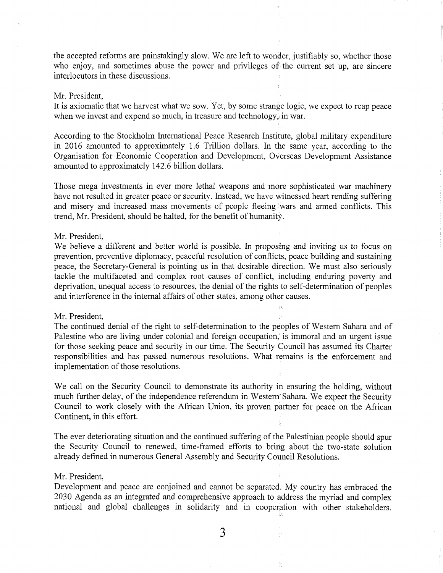the accepted reforms are painstakingly slow. We are left to wonder, justifiably so, whether those who enjoy, and sometimes abuse the power and privileges of the current set up, are sincere interlocutors in these discussions.

#### Mr. President,

It is axiomatic that we harvest what we sow. Yet, by some strange logic, we expect to reap peace when we invest and expend so much, in treasure and technology, in war.

According to the Stockholm International Peace Research Institute, global military expenditure in 2016 amounted to approximately 1.6 Trillion dollars. In the same year, according to the Organisation for Economic Cooperation and Development, Overseas Development Assistance amounted to approximately 142.6 billion dollars.

Those mega investments in ever more lethal weapons and more sophisticated war machinery have not resulted in greater peace or security. Instead, we have witnessed heart rending suffering and misery and increased mass movements of people fleeing wars and armed conflicts. This trend, Mr. President, should be halted, for the benefit of humanity.

#### Mr. President,

We believe a different and better world is possible. In proposing and inviting us to focus on prevention, preventive diplomacy, peaceful resolution of conflicts, peace building and sustaining peace, the Secretary-General is pointing us in that desirable direction. We must also seriously tackle the multifaceted and complex root causes of conflict, including enduring poverty and deprivation, unequal access to resources, the denial of the rights to self-determination of peoples and interference in the internal affairs of other states, among other causes.

 $\alpha$ 

 $\frac{1}{12}$ 

#### Mr. President,

The continued denial of the right to self-determination to the peoples of Western Sahara and of Palestine who are living under colonial and foreign occupation, is immoral and an urgent issue for those seeking peace and security in our time. The Security Council has assumed its Charter responsibilities and has passed numerous resolutions. What remains is the enforcement and implementation of those resolutions.

We call on the Security Council to demonstrate its authority in ensuring the holding, without much further delay, of the independence referendum in Western Sahara. We expect the Security Council to work closely with the African Union, its proven partner for peace on the African Continent, in this effort.

The ever deteriorating situation and the continued suffering of the Palestinian people should spur the Security Council to renewed, time-framed efforts to bring about the two-state solution already defined in numerous General Assembly and Security Council Resolutions.

#### Mr. President,

Development and peace are conjoined and cannot be separated. My country has embraced the 2030 Agenda as an integrated and comprehensive approach to address the myriad and complex national and global challenges in solidarity and in cooperation with other stakeholders.

3